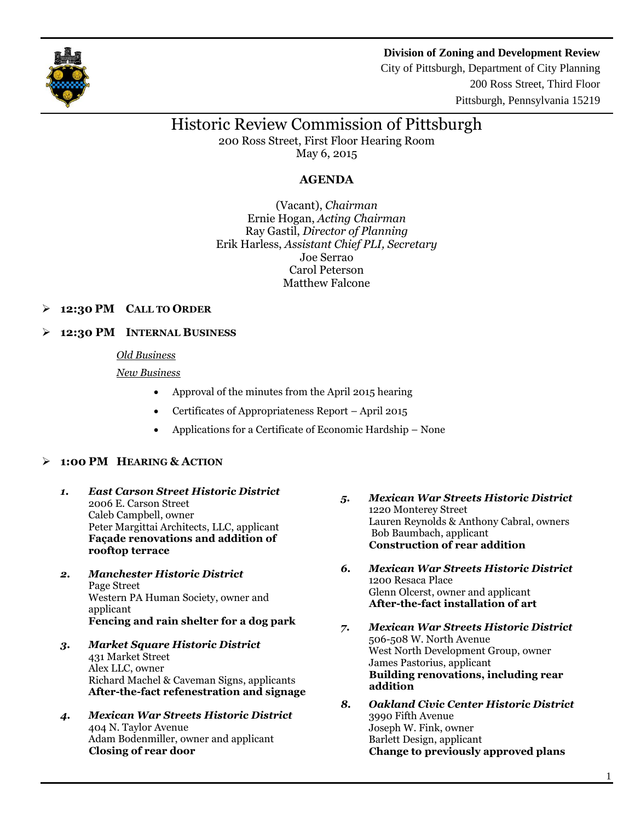



City of Pittsburgh, Department of City Planning 200 Ross Street, Third Floor Pittsburgh, Pennsylvania 15219

# Historic Review Commission of Pittsburgh

200 Ross Street, First Floor Hearing Room May 6, 2015

## **AGENDA**

(Vacant), *Chairman* Ernie Hogan, *Acting Chairman* Ray Gastil, *Director of Planning* Erik Harless, *Assistant Chief PLI, Secretary* Joe Serrao Carol Peterson Matthew Falcone

## **12:30 PM CALL TO ORDER**

## **12:30 PM INTERNAL BUSINESS**

#### *Old Business*

#### *New Business*

- Approval of the minutes from the April 2015 hearing
- Certificates of Appropriateness Report April 2015
- Applications for a Certificate of Economic Hardship None

## **1:00 PM HEARING & ACTION**

- *1. East Carson Street Historic District* 2006 E. Carson Street Caleb Campbell, owner Peter Margittai Architects, LLC, applicant **Façade renovations and addition of rooftop terrace**
- *2. Manchester Historic District* Page Street Western PA Human Society, owner and applicant **Fencing and rain shelter for a dog park**
- *3. Market Square Historic District* 431 Market Street Alex LLC, owner Richard Machel & Caveman Signs, applicants **After-the-fact refenestration and signage**
- *4. Mexican War Streets Historic District* 404 N. Taylor Avenue Adam Bodenmiller, owner and applicant **Closing of rear door**
- *5. Mexican War Streets Historic District* 1220 Monterey Street Lauren Reynolds & Anthony Cabral, owners Bob Baumbach, applicant **Construction of rear addition**
- *6. Mexican War Streets Historic District* 1200 Resaca Place Glenn Olcerst, owner and applicant **After-the-fact installation of art**
- *7. Mexican War Streets Historic District* 506-508 W. North Avenue West North Development Group, owner James Pastorius, applicant **Building renovations, including rear addition**
- *8. Oakland Civic Center Historic District* 3990 Fifth Avenue Joseph W. Fink, owner Barlett Design, applicant **Change to previously approved plans**